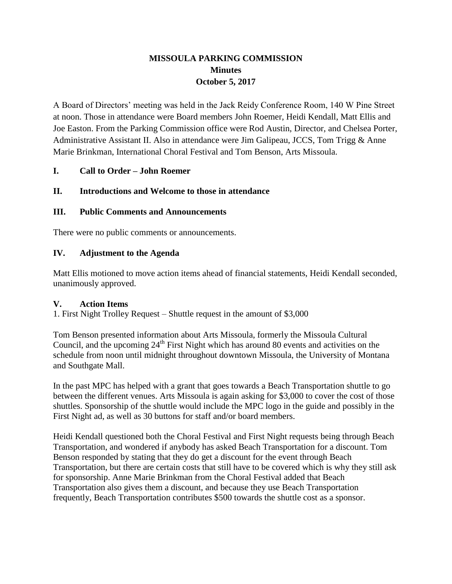# **MISSOULA PARKING COMMISSION Minutes October 5, 2017**

A Board of Directors' meeting was held in the Jack Reidy Conference Room, 140 W Pine Street at noon. Those in attendance were Board members John Roemer, Heidi Kendall, Matt Ellis and Joe Easton. From the Parking Commission office were Rod Austin, Director, and Chelsea Porter, Administrative Assistant II. Also in attendance were Jim Galipeau, JCCS, Tom Trigg & Anne Marie Brinkman, International Choral Festival and Tom Benson, Arts Missoula.

### **I. Call to Order – John Roemer**

## **II. Introductions and Welcome to those in attendance**

### **III. Public Comments and Announcements**

There were no public comments or announcements.

### **IV. Adjustment to the Agenda**

Matt Ellis motioned to move action items ahead of financial statements, Heidi Kendall seconded, unanimously approved.

### **V. Action Items**

1. First Night Trolley Request – Shuttle request in the amount of \$3,000

Tom Benson presented information about Arts Missoula, formerly the Missoula Cultural Council, and the upcoming  $24<sup>th</sup>$  First Night which has around 80 events and activities on the schedule from noon until midnight throughout downtown Missoula, the University of Montana and Southgate Mall.

In the past MPC has helped with a grant that goes towards a Beach Transportation shuttle to go between the different venues. Arts Missoula is again asking for \$3,000 to cover the cost of those shuttles. Sponsorship of the shuttle would include the MPC logo in the guide and possibly in the First Night ad, as well as 30 buttons for staff and/or board members.

Heidi Kendall questioned both the Choral Festival and First Night requests being through Beach Transportation, and wondered if anybody has asked Beach Transportation for a discount. Tom Benson responded by stating that they do get a discount for the event through Beach Transportation, but there are certain costs that still have to be covered which is why they still ask for sponsorship. Anne Marie Brinkman from the Choral Festival added that Beach Transportation also gives them a discount, and because they use Beach Transportation frequently, Beach Transportation contributes \$500 towards the shuttle cost as a sponsor.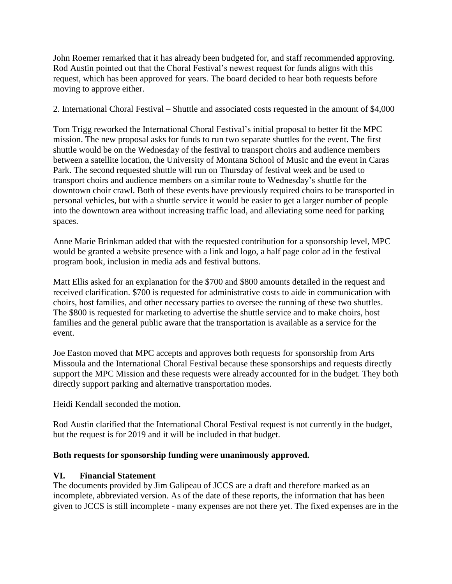John Roemer remarked that it has already been budgeted for, and staff recommended approving. Rod Austin pointed out that the Choral Festival's newest request for funds aligns with this request, which has been approved for years. The board decided to hear both requests before moving to approve either.

2. International Choral Festival – Shuttle and associated costs requested in the amount of \$4,000

Tom Trigg reworked the International Choral Festival's initial proposal to better fit the MPC mission. The new proposal asks for funds to run two separate shuttles for the event. The first shuttle would be on the Wednesday of the festival to transport choirs and audience members between a satellite location, the University of Montana School of Music and the event in Caras Park. The second requested shuttle will run on Thursday of festival week and be used to transport choirs and audience members on a similar route to Wednesday's shuttle for the downtown choir crawl. Both of these events have previously required choirs to be transported in personal vehicles, but with a shuttle service it would be easier to get a larger number of people into the downtown area without increasing traffic load, and alleviating some need for parking spaces.

Anne Marie Brinkman added that with the requested contribution for a sponsorship level, MPC would be granted a website presence with a link and logo, a half page color ad in the festival program book, inclusion in media ads and festival buttons.

Matt Ellis asked for an explanation for the \$700 and \$800 amounts detailed in the request and received clarification. \$700 is requested for administrative costs to aide in communication with choirs, host families, and other necessary parties to oversee the running of these two shuttles. The \$800 is requested for marketing to advertise the shuttle service and to make choirs, host families and the general public aware that the transportation is available as a service for the event.

Joe Easton moved that MPC accepts and approves both requests for sponsorship from Arts Missoula and the International Choral Festival because these sponsorships and requests directly support the MPC Mission and these requests were already accounted for in the budget. They both directly support parking and alternative transportation modes.

Heidi Kendall seconded the motion.

Rod Austin clarified that the International Choral Festival request is not currently in the budget, but the request is for 2019 and it will be included in that budget.

#### **Both requests for sponsorship funding were unanimously approved.**

### **VI. Financial Statement**

The documents provided by Jim Galipeau of JCCS are a draft and therefore marked as an incomplete, abbreviated version. As of the date of these reports, the information that has been given to JCCS is still incomplete - many expenses are not there yet. The fixed expenses are in the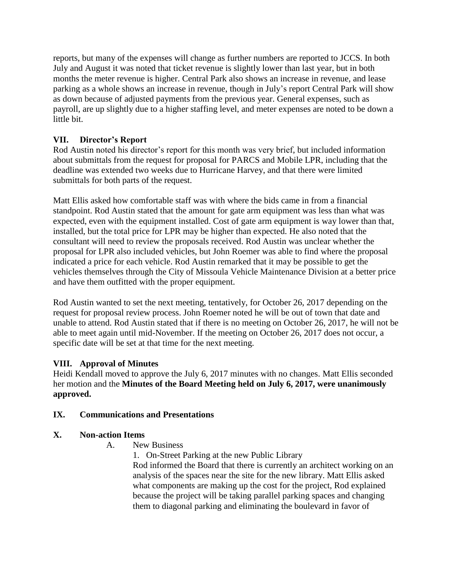reports, but many of the expenses will change as further numbers are reported to JCCS. In both July and August it was noted that ticket revenue is slightly lower than last year, but in both months the meter revenue is higher. Central Park also shows an increase in revenue, and lease parking as a whole shows an increase in revenue, though in July's report Central Park will show as down because of adjusted payments from the previous year. General expenses, such as payroll, are up slightly due to a higher staffing level, and meter expenses are noted to be down a little bit.

## **VII. Director's Report**

Rod Austin noted his director's report for this month was very brief, but included information about submittals from the request for proposal for PARCS and Mobile LPR, including that the deadline was extended two weeks due to Hurricane Harvey, and that there were limited submittals for both parts of the request.

Matt Ellis asked how comfortable staff was with where the bids came in from a financial standpoint. Rod Austin stated that the amount for gate arm equipment was less than what was expected, even with the equipment installed. Cost of gate arm equipment is way lower than that, installed, but the total price for LPR may be higher than expected. He also noted that the consultant will need to review the proposals received. Rod Austin was unclear whether the proposal for LPR also included vehicles, but John Roemer was able to find where the proposal indicated a price for each vehicle. Rod Austin remarked that it may be possible to get the vehicles themselves through the City of Missoula Vehicle Maintenance Division at a better price and have them outfitted with the proper equipment.

Rod Austin wanted to set the next meeting, tentatively, for October 26, 2017 depending on the request for proposal review process. John Roemer noted he will be out of town that date and unable to attend. Rod Austin stated that if there is no meeting on October 26, 2017, he will not be able to meet again until mid-November. If the meeting on October 26, 2017 does not occur, a specific date will be set at that time for the next meeting.

### **VIII. Approval of Minutes**

Heidi Kendall moved to approve the July 6, 2017 minutes with no changes. Matt Ellis seconded her motion and the **Minutes of the Board Meeting held on July 6, 2017, were unanimously approved.**

### **IX. Communications and Presentations**

### **X. Non-action Items**

A. New Business

1. On-Street Parking at the new Public Library Rod informed the Board that there is currently an architect working on an analysis of the spaces near the site for the new library. Matt Ellis asked what components are making up the cost for the project, Rod explained because the project will be taking parallel parking spaces and changing them to diagonal parking and eliminating the boulevard in favor of